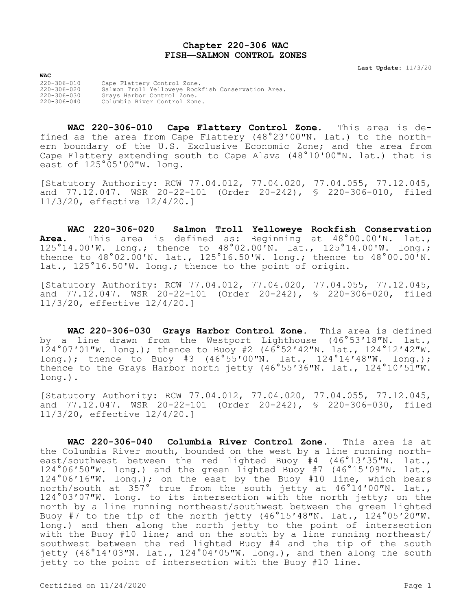## **Chapter 220-306 WAC FISH—SALMON CONTROL ZONES**

**Last Update:** 11/3/20

220-306-010 Cape Flattery Control Zone. 220-306-020 Salmon Troll Yelloweye Rockfish Conservation Area. 220-306-030 Grays Harbor Control Zone. Columbia River Control Zone.

**WAC**

**WAC 220-306-010 Cape Flattery Control Zone.** This area is defined as the area from Cape Flattery (48°23'00"N. lat.) to the northern boundary of the U.S. Exclusive Economic Zone; and the area from Cape Flattery extending south to Cape Alava (48°10'00"N. lat.) that is east of 125°05'00"W. long.

[Statutory Authority: RCW 77.04.012, 77.04.020, 77.04.055, 77.12.045, and 77.12.047. WSR 20-22-101 (Order 20-242), § 220-306-010, filed 11/3/20, effective 12/4/20.]

**WAC 220-306-020 Salmon Troll Yelloweye Rockfish Conservation Area.** This area is defined as: Beginning at 48°00.00'N. lat., 125°14.00'W. long.; thence to 48°02.00'N. lat., 125°14.00'W. long.; thence to 48°02.00'N. lat., 125°16.50'W. long.; thence to 48°00.00'N. lat., 125°16.50'W. long.; thence to the point of origin.

[Statutory Authority: RCW 77.04.012, 77.04.020, 77.04.055, 77.12.045, and 77.12.047. WSR 20-22-101 (Order 20-242), § 220-306-020, filed 11/3/20, effective 12/4/20.]

**WAC 220-306-030 Grays Harbor Control Zone.** This area is defined by a line drawn from the Westport Lighthouse (46°53′18″N. lat., 124°07′01″W. long.); thence to Buoy #2 (46°52′42″N. lat., 124°12′42″W. long.); thence to Buoy #3 (46°55′00″N. lat., 124°14′48″W. long.); thence to the Grays Harbor north jetty (46°55'36"N. lat., 124°10'51"W. long.).

[Statutory Authority: RCW 77.04.012, 77.04.020, 77.04.055, 77.12.045, and 77.12.047. WSR 20-22-101 (Order 20-242), § 220-306-030, filed 11/3/20, effective 12/4/20.]

**WAC 220-306-040 Columbia River Control Zone.** This area is at the Columbia River mouth, bounded on the west by a line running northeast/southwest between the red lighted Buoy #4 (46°13'35"N. lat., 124°06′50″W. long.) and the green lighted Buoy #7 (46°15′09"N. lat., 124°06′16″W. long.); on the east by the Buoy #10 line, which bears north/south at 357° true from the south jetty at 46°14′00″N. lat., 124°03′07″W. long. to its intersection with the north jetty; on the north by a line running northeast/southwest between the green lighted Buoy #7 to the tip of the north jetty (46°15′48″N. lat., 124°05′20″W. long.) and then along the north jetty to the point of intersection with the Buoy #10 line; and on the south by a line running northeast/ southwest between the red lighted Buoy #4 and the tip of the south jetty (46°14′03″N. lat., 124°04′05″W. long.), and then along the south jetty to the point of intersection with the Buoy #10 line.